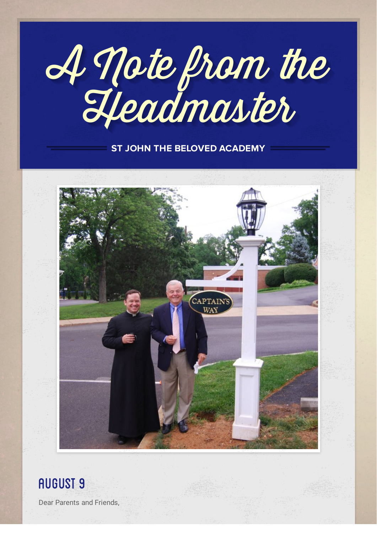A Note from the

**ST JOHN THE BELOVED ACADEMY** 





Dear Parents and Friends.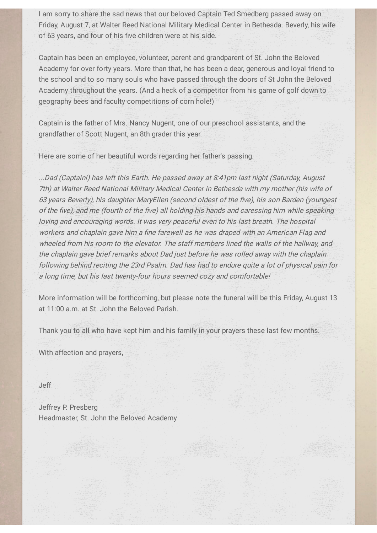I am sorry to share the sad news that our beloved Captain Ted Smedberg passed away on Friday, August 7, at Walter Reed National Military Medical Center in Bethesda. Beverly, his wife of 63 years, and four of his five children were at his side.

Captain has been an employee, volunteer, parent and grandparent of St. John the Beloved Academy for over forty years. More than that, he has been a dear, generous and loyal friend to the school and to so many souls who have passed through the doors of St John the Beloved Academy throughout the years. (And a heck of a competitor from his game of golf down to geography bees and faculty competitions of corn hole!)

Captain is the father of Mrs. Nancy Nugent, one of our preschool assistants, and the grandfather of Scott Nugent, an 8th grader this year.

Here are some of her beautiful words regarding her father's passing.

...Dad (Captain!) has left this Earth. He passed away at 8:41pm last night (Saturday, August 7th) at Walter Reed National Military Medical Center in Bethesda with my mother (his wife of 63 years Beverly), his daughter MaryEllen (second oldest of the five), his son Barden (youngest of the five), and me (fourth of the five) all holding his hands and caressing him while speaking loving and encouraging words. It was very peaceful even to his last breath. The hospital workers and chaplain gave him <sup>a</sup> fine farewell as he was draped with an American Flag and wheeled from his room to the elevator. The staff members lined the walls of the hallway, and the chaplain gave brief remarks about Dad just before he was rolled away with the chaplain following behind reciting the 23rd Psalm. Dad has had to endure quite <sup>a</sup> lot of physical pain for <sup>a</sup> long time, but his last twenty-four hours seemed cozy and comfortable!

More information will be forthcoming, but please note the funeral will be this Friday, August 13 at 11:00 a.m. at St. John the Beloved Parish.

Thank you to all who have kept him and his family in your prayers these last few months.

With affection and prayers,

Jeff

Jeffrey P. Presberg Headmaster, St. John the Beloved Academy